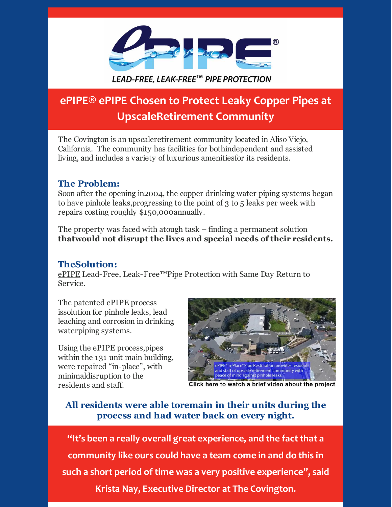

# **ePIPE® ePIPE Chosen to Protect Leaky Copper Pipes at UpscaleRetirement Community**

The Covington is an upscaleretirement community located in Aliso Viejo, California. The community has facilities for bothindependent and assisted living, and includes a variety of luxurious amenitiesfor its residents.

### **The Problem:**

Soon after the opening in2004, the copper drinking water piping systems began to have pinhole leaks,progressing to the point of 3 to 5 leaks per week with repairs costing roughly \$150,000annually.

The property was faced with atough task – finding a permanent solution **thatwould not disrupt the lives and special needs of their residents.**

#### **TheSolution:**

[ePIPE](http://www.aceduraflo.com/) Lead-Free, Leak-Free™Pipe Protection with Same Day Return to Service.

The patented ePIPE process issolution for pinhole leaks, lead leaching and corrosion in drinking waterpiping systems.

Using the ePIPE process,pipes within the 131 unit main building, were repaired "in-place", with minimaldisruption to the residents and staff.



Click here to watch a brief video about the project

## **All residents were able toremain in their units during the process and had water back on every night.**

**"It's been a really overall great experience, and the fact that a community like ours could have a team come in and do this in such a short period of time was a very positive experience" , said Krista Nay, Executive Director at The Covington.**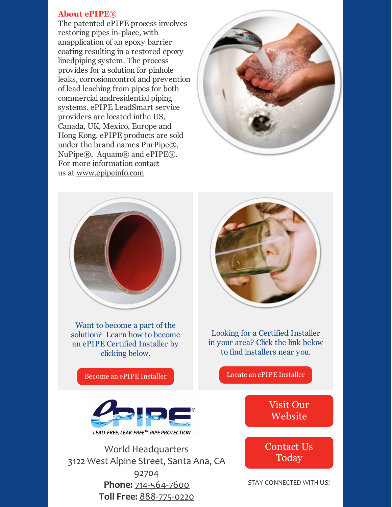#### **About ePIPE***®*

The patented ePIPE process involves restoring pipes in-place, with anapplication of an epoxy barrier coating resulting in a restored epoxy linedpiping system. The process provides for a solution for pinhole leaks, corrosioncontrol and prevention of lead leaching from pipes for both commercial andresidential piping systems. ePIPE LeadSmart service providers are located inthe US, Canada, UK, Mexico, Europe and Hong Kong. ePIPE products are sold under the brand names PurPipe®, NuPipe®, Aquam® and ePIPE®. For more information contact us at [www.epipeinfo.com](http://www.epipeinfo.com/)





Want to become a part of the solution? Learn how to become an ePIPE Certified Installer by clicking below.

Become an ePIPE [Installer](http://www.aceduraflo.com/affiliate)



Looking for a Certified Installer in your area? Click the link below to find installers near you.

Locate an ePIPE [Installer](http://www.aceduraflo.com/locate-an-installer)



World Headquarters 3122 West Alpine Street, Santa Ana, CA 92704 **Phone:** 714-564-7600 **Toll Free:** 888-775-0220

Visit Our [Website](http://www.aceduraflo.com/)

[Contact](http://www.aceduraflo.com/content/contact) Us Today

STAY CONNECTED WITH US!